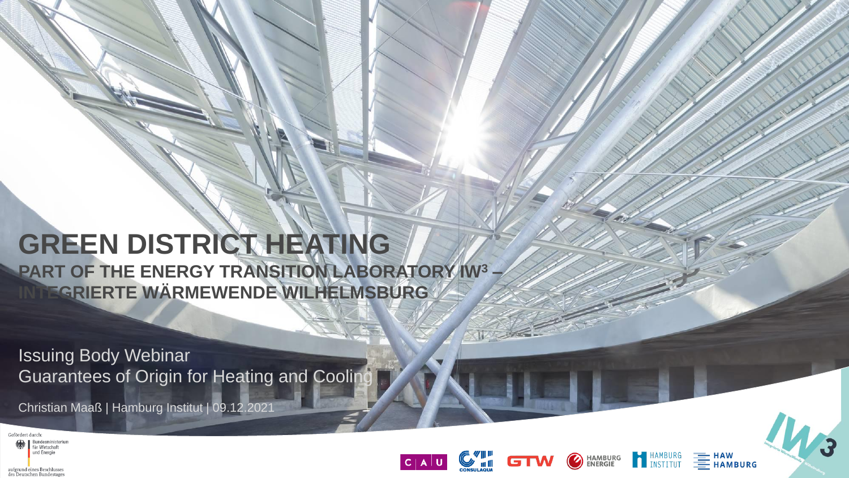# **GREEN DISTRICT HEATING**

**PART OF THE ENERGY TRANSITION LABORATORY IW<sup>3</sup> – INTEGRIERTE WÄRMEWENDE WILHELMSBURG**

Issuing Body Webinar Guarantees of Origin for Heating and Cooling

Christian Maaß | Hamburg Institut | 09.12.2021







HAMBURG<br>A INSTITUT

**HAMBURG<br>ENERGIE** 

O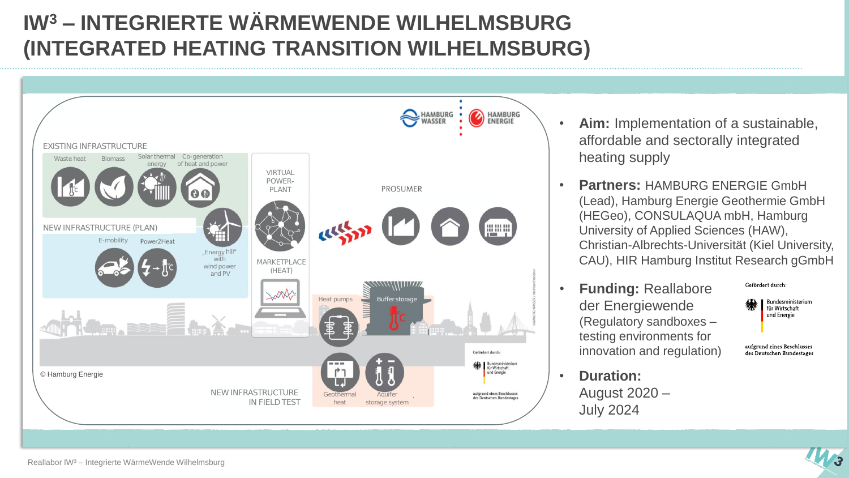## **IW<sup>3</sup> – INTEGRIERTE WÄRMEWENDE WILHELMSBURG (INTEGRATED HEATING TRANSITION WILHELMSBURG)**



- **Aim:** Implementation of a sustainable, affordable and sectorally integrated heating supply
- **Partners:** HAMBURG ENERGIE GmbH (Lead), Hamburg Energie Geothermie GmbH (HEGeo), CONSULAQUA mbH, Hamburg University of Applied Sciences (HAW), Christian-Albrechts-Universität (Kiel University, CAU), HIR Hamburg Institut Research gGmbH
- **Funding:** Reallabore der Energiewende (Regulatory sandboxes – testing environments for innovation and regulation)

August 2020 –

July 2024



Gefördert durch:

aufgrund eines Beschlusses des Deutschen Bundestages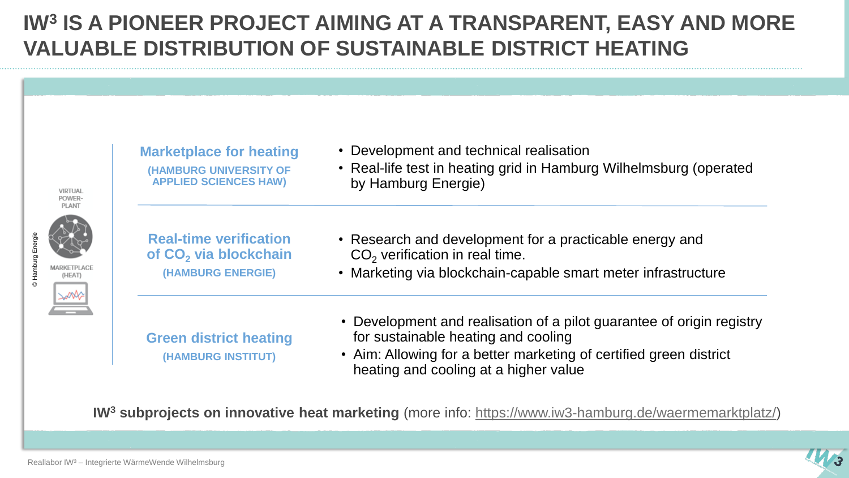### **IW<sup>3</sup> IS A PIONEER PROJECT AIMING AT A TRANSPARENT, EASY AND MORE VALUABLE DISTRIBUTION OF SUSTAINABLE DISTRICT HEATING**

|                                                                 | <b>Marketplace for heating</b>                                                          | • Development and technical realisation                                                                                                                                                                                     |
|-----------------------------------------------------------------|-----------------------------------------------------------------------------------------|-----------------------------------------------------------------------------------------------------------------------------------------------------------------------------------------------------------------------------|
| VIRTUAL<br>POWER-<br><b>PLANT</b><br>MARKETPLACE<br>(HEAI)<br>₩ | (HAMBURG UNIVERSITY OF<br><b>APPLIED SCIENCES HAW)</b>                                  | • Real-life test in heating grid in Hamburg Wilhelmsburg (operated<br>by Hamburg Energie)                                                                                                                                   |
|                                                                 | <b>Real-time verification</b><br>of CO <sub>2</sub> via blockchain<br>(HAMBURG ENERGIE) | • Research and development for a practicable energy and<br>$CO2$ verification in real time.<br>• Marketing via blockchain-capable smart meter infrastructure                                                                |
|                                                                 | <b>Green district heating</b><br>(HAMBURG INSTITUT)                                     | • Development and realisation of a pilot guarantee of origin registry<br>for sustainable heating and cooling<br>• Aim: Allowing for a better marketing of certified green district<br>heating and cooling at a higher value |

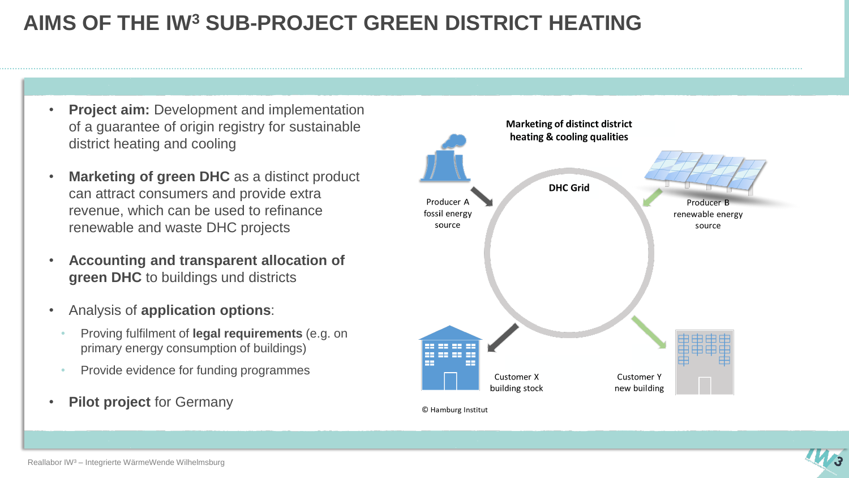#### **AIMS OF THE IW<sup>3</sup> SUB-PROJECT GREEN DISTRICT HEATING**

- **Project aim:** Development and implementation of a guarantee of origin registry for sustainable district heating and cooling
- **Marketing of green DHC** as a distinct product can attract consumers and provide extra revenue, which can be used to refinance renewable and waste DHC projects
- **Accounting and transparent allocation of green DHC** to buildings und districts
- Analysis of **application options**:
	- Proving fulfilment of **legal requirements** (e.g. on primary energy consumption of buildings)
	- Provide evidence for funding programmes
- **Pilot project** for Germany



© Hamburg Institut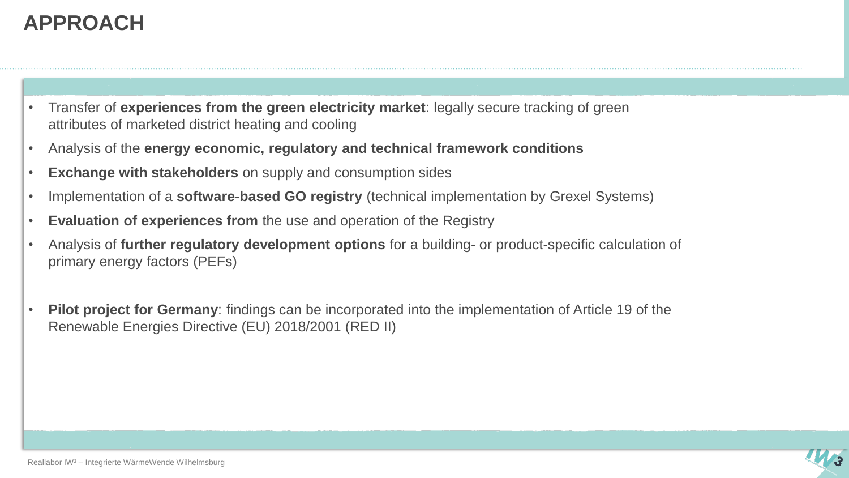### **APPROACH**

- Transfer of **experiences from the green electricity market**: legally secure tracking of green attributes of marketed district heating and cooling
- Analysis of the **energy economic, regulatory and technical framework conditions**
- **Exchange with stakeholders** on supply and consumption sides
- Implementation of a **software-based GO registry** (technical implementation by Grexel Systems)
- **Evaluation of experiences from** the use and operation of the Registry
- Analysis of **further regulatory development options** for a building- or product-specific calculation of primary energy factors (PEFs)
- **Pilot project for Germany**: findings can be incorporated into the implementation of Article 19 of the Renewable Energies Directive (EU) 2018/2001 (RED II)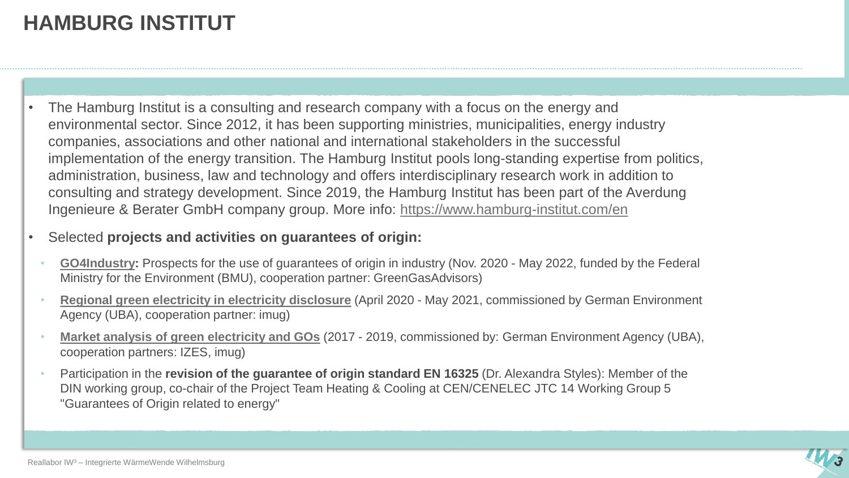### **HAMBURG INSTITUT**

- The Hamburg Institut is a consulting and research company with a focus on the energy and environmental sector. Since 2012, it has been supporting ministries, municipalities, energy industry companies, associations and other national and international stakeholders in the successful implementation of the energy transition. The Hamburg Institut pools long-standing expertise from politics, administration, business, law and technology and offers interdisciplinary research work in addition to consulting and strategy development. Since 2019, the Hamburg Institut has been part of the Averdung Ingenieure & Berater GmbH company group. More info: <https://www.hamburg-institut.com/en>
- Selected **projects and activities on guarantees of origin:** 
	- **[GO4Industry:](https://go4industry.com/)** Prospects for the use of guarantees of origin in industry (Nov. 2020 May 2022, funded by the Federal Ministry for the Environment (BMU), cooperation partner: GreenGasAdvisors)
	- **[Regional green](https://www.umweltbundesamt.de/sites/default/files/medien/5750/publikationen/2021-06-30_cc_50-2021_ausweisung_regionaler_gruenstrom.pdf) electricity in electricity disclosure** (April 2020 May 2021, commissioned by German Environment Agency (UBA), cooperation partner: imug)
	- **[Market analysis](https://www.umweltbundesamt.de/sites/default/files/medien/1410/publikationen/2019-08-15_cc_30-2019_marktanalyse_oekostrom_ii.pdf) of green electricity and GOs** (2017 2019, commissioned by: German Environment Agency (UBA), cooperation partners: IZES, imug)
	- Participation in the **revision of the guarantee of origin standard EN 16325** (Dr. Alexandra Styles): Member of the DIN working group, co-chair of the Project Team Heating & Cooling at CEN/CENELEC JTC 14 Working Group 5 "Guarantees of Origin related to energy"

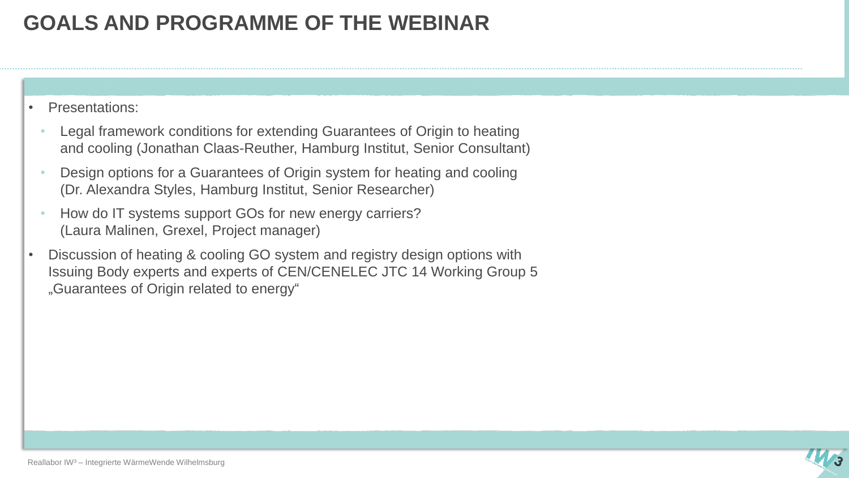#### **GOALS AND PROGRAMME OF THE WEBINAR**

- Presentations:
	- Legal framework conditions for extending Guarantees of Origin to heating and cooling (Jonathan Claas-Reuther, Hamburg Institut, Senior Consultant)
	- Design options for a Guarantees of Origin system for heating and cooling (Dr. Alexandra Styles, Hamburg Institut, Senior Researcher)
	- How do IT systems support GOs for new energy carriers? (Laura Malinen, Grexel, Project manager)
- Discussion of heating & cooling GO system and registry design options with Issuing Body experts and experts of CEN/CENELEC JTC 14 Working Group 5 "Guarantees of Origin related to energy"